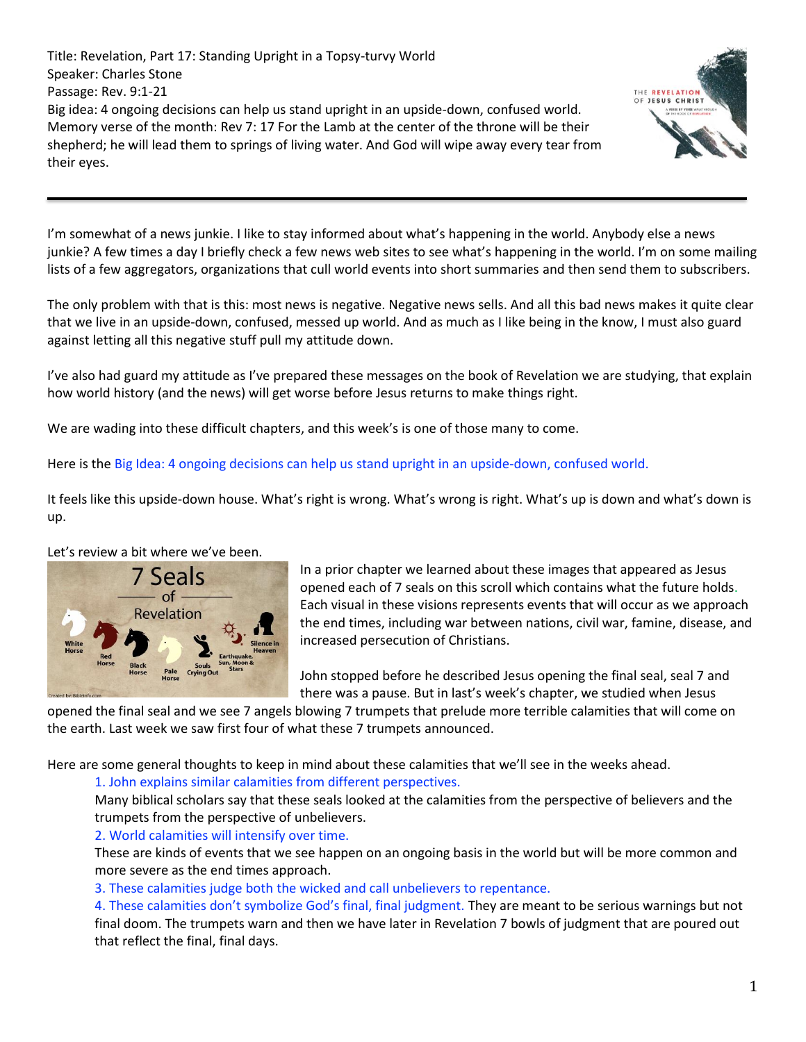Title: Revelation, Part 17: Standing Upright in a Topsy-turvy World Speaker: Charles Stone Passage: Rev. 9:1-21 Big idea: 4 ongoing decisions can help us stand upright in an upside-down, confused world. Memory verse of the month: Rev 7: 17 For the Lamb at the center of the throne will be their shepherd; he will lead them to springs of living water. And God will wipe away every tear from their eyes.



I'm somewhat of a news junkie. I like to stay informed about what's happening in the world. Anybody else a news junkie? A few times a day I briefly check a few news web sites to see what's happening in the world. I'm on some mailing lists of a few aggregators, organizations that cull world events into short summaries and then send them to subscribers.

The only problem with that is this: most news is negative. Negative news sells. And all this bad news makes it quite clear that we live in an upside-down, confused, messed up world. And as much as I like being in the know, I must also guard against letting all this negative stuff pull my attitude down.

I've also had guard my attitude as I've prepared these messages on the book of Revelation we are studying, that explain how world history (and the news) will get worse before Jesus returns to make things right.

We are wading into these difficult chapters, and this week's is one of those many to come.

### Here is the Big Idea: 4 ongoing decisions can help us stand upright in an upside-down, confused world.

It feels like this upside-down house. What's right is wrong. What's wrong is right. What's up is down and what's down is up.

#### Let's review a bit where we've been.



In a prior chapter we learned about these images that appeared as Jesus opened each of 7 seals on this scroll which contains what the future holds. Each visual in these visions represents events that will occur as we approach the end times, including war between nations, civil war, famine, disease, and increased persecution of Christians.

John stopped before he described Jesus opening the final seal, seal 7 and there was a pause. But in last's week's chapter, we studied when Jesus

opened the final seal and we see 7 angels blowing 7 trumpets that prelude more terrible calamities that will come on the earth. Last week we saw first four of what these 7 trumpets announced.

Here are some general thoughts to keep in mind about these calamities that we'll see in the weeks ahead.

#### 1. John explains similar calamities from different perspectives.

Many biblical scholars say that these seals looked at the calamities from the perspective of believers and the trumpets from the perspective of unbelievers.

## 2. World calamities will intensify over time.

These are kinds of events that we see happen on an ongoing basis in the world but will be more common and more severe as the end times approach.

3. These calamities judge both the wicked and call unbelievers to repentance.

4. These calamities don't symbolize God's final, final judgment. They are meant to be serious warnings but not final doom. The trumpets warn and then we have later in Revelation 7 bowls of judgment that are poured out that reflect the final, final days.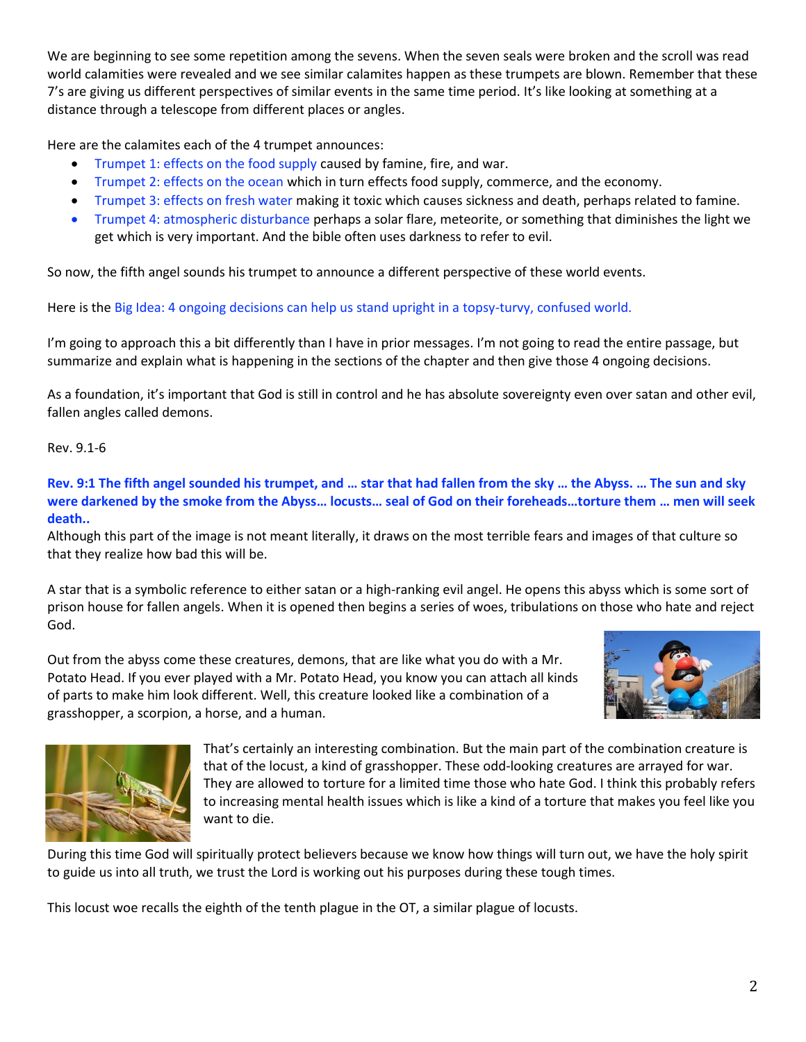We are beginning to see some repetition among the sevens. When the seven seals were broken and the scroll was read world calamities were revealed and we see similar calamites happen as these trumpets are blown. Remember that these 7's are giving us different perspectives of similar events in the same time period. It's like looking at something at a distance through a telescope from different places or angles.

Here are the calamites each of the 4 trumpet announces:

- Trumpet 1: effects on the food supply caused by famine, fire, and war.
- Trumpet 2: effects on the ocean which in turn effects food supply, commerce, and the economy.
- Trumpet 3: effects on fresh water making it toxic which causes sickness and death, perhaps related to famine.
- Trumpet 4: atmospheric disturbance perhaps a solar flare, meteorite, or something that diminishes the light we get which is very important. And the bible often uses darkness to refer to evil.

So now, the fifth angel sounds his trumpet to announce a different perspective of these world events.

Here is the Big Idea: 4 ongoing decisions can help us stand upright in a topsy-turvy, confused world.

I'm going to approach this a bit differently than I have in prior messages. I'm not going to read the entire passage, but summarize and explain what is happening in the sections of the chapter and then give those 4 ongoing decisions.

As a foundation, it's important that God is still in control and he has absolute sovereignty even over satan and other evil, fallen angles called demons.

### Rev. 9.1-6

**Rev. 9:1 The fifth angel sounded his trumpet, and … star that had fallen from the sky … the Abyss. … The sun and sky were darkened by the smoke from the Abyss… locusts… seal of God on their foreheads…torture them … men will seek death..**

Although this part of the image is not meant literally, it draws on the most terrible fears and images of that culture so that they realize how bad this will be.

A star that is a symbolic reference to either satan or a high-ranking evil angel. He opens this abyss which is some sort of prison house for fallen angels. When it is opened then begins a series of woes, tribulations on those who hate and reject God.

Out from the abyss come these creatures, demons, that are like what you do with a Mr. Potato Head. If you ever played with a Mr. Potato Head, you know you can attach all kinds of parts to make him look different. Well, this creature looked like a combination of a grasshopper, a scorpion, a horse, and a human.





That's certainly an interesting combination. But the main part of the combination creature is that of the locust, a kind of grasshopper. These odd-looking creatures are arrayed for war. They are allowed to torture for a limited time those who hate God. I think this probably refers to increasing mental health issues which is like a kind of a torture that makes you feel like you want to die.

During this time God will spiritually protect believers because we know how things will turn out, we have the holy spirit to guide us into all truth, we trust the Lord is working out his purposes during these tough times.

This locust woe recalls the eighth of the tenth plague in the OT, a similar plague of locusts.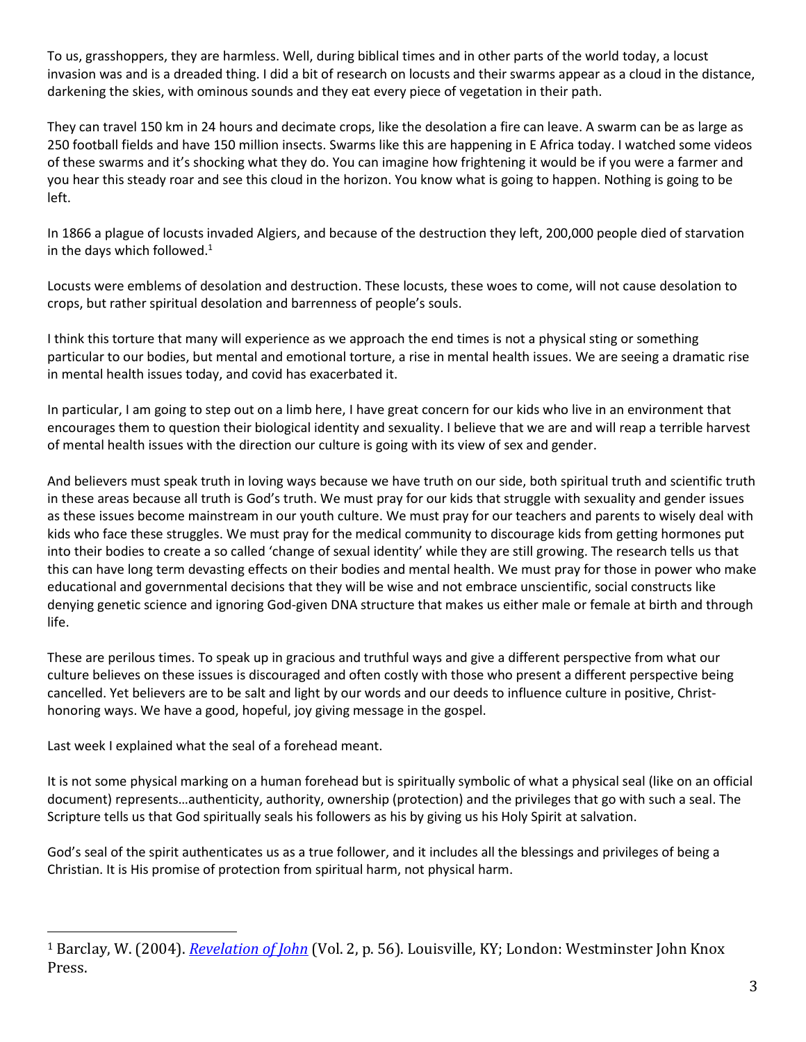To us, grasshoppers, they are harmless. Well, during biblical times and in other parts of the world today, a locust invasion was and is a dreaded thing. I did a bit of research on locusts and their swarms appear as a cloud in the distance, darkening the skies, with ominous sounds and they eat every piece of vegetation in their path.

They can travel 150 km in 24 hours and decimate crops, like the desolation a fire can leave. A swarm can be as large as 250 football fields and have 150 million insects. Swarms like this are happening in E Africa today. I watched some videos of these swarms and it's shocking what they do. You can imagine how frightening it would be if you were a farmer and you hear this steady roar and see this cloud in the horizon. You know what is going to happen. Nothing is going to be left.

In 1866 a plague of locusts invaded Algiers, and because of the destruction they left, 200,000 people died of starvation in the days which followed. $1$ 

Locusts were emblems of desolation and destruction. These locusts, these woes to come, will not cause desolation to crops, but rather spiritual desolation and barrenness of people's souls.

I think this torture that many will experience as we approach the end times is not a physical sting or something particular to our bodies, but mental and emotional torture, a rise in mental health issues. We are seeing a dramatic rise in mental health issues today, and covid has exacerbated it.

In particular, I am going to step out on a limb here, I have great concern for our kids who live in an environment that encourages them to question their biological identity and sexuality. I believe that we are and will reap a terrible harvest of mental health issues with the direction our culture is going with its view of sex and gender.

And believers must speak truth in loving ways because we have truth on our side, both spiritual truth and scientific truth in these areas because all truth is God's truth. We must pray for our kids that struggle with sexuality and gender issues as these issues become mainstream in our youth culture. We must pray for our teachers and parents to wisely deal with kids who face these struggles. We must pray for the medical community to discourage kids from getting hormones put into their bodies to create a so called 'change of sexual identity' while they are still growing. The research tells us that this can have long term devasting effects on their bodies and mental health. We must pray for those in power who make educational and governmental decisions that they will be wise and not embrace unscientific, social constructs like denying genetic science and ignoring God-given DNA structure that makes us either male or female at birth and through life.

These are perilous times. To speak up in gracious and truthful ways and give a different perspective from what our culture believes on these issues is discouraged and often costly with those who present a different perspective being cancelled. Yet believers are to be salt and light by our words and our deeds to influence culture in positive, Christhonoring ways. We have a good, hopeful, joy giving message in the gospel.

Last week I explained what the seal of a forehead meant.

It is not some physical marking on a human forehead but is spiritually symbolic of what a physical seal (like on an official document) represents…authenticity, authority, ownership (protection) and the privileges that go with such a seal. The Scripture tells us that God spiritually seals his followers as his by giving us his Holy Spirit at salvation.

God's seal of the spirit authenticates us as a true follower, and it includes all the blessings and privileges of being a Christian. It is His promise of protection from spiritual harm, not physical harm.

<sup>1</sup> Barclay, W. (2004). *[Revelation of John](https://ref.ly/logosres/ndsb87rev02?ref=Bible.Re9.3-12&off=3534&ctx=it+is+recorded+that+~in+1866+a+plague+of+)* (Vol. 2, p. 56). Louisville, KY; London: Westminster John Knox Press.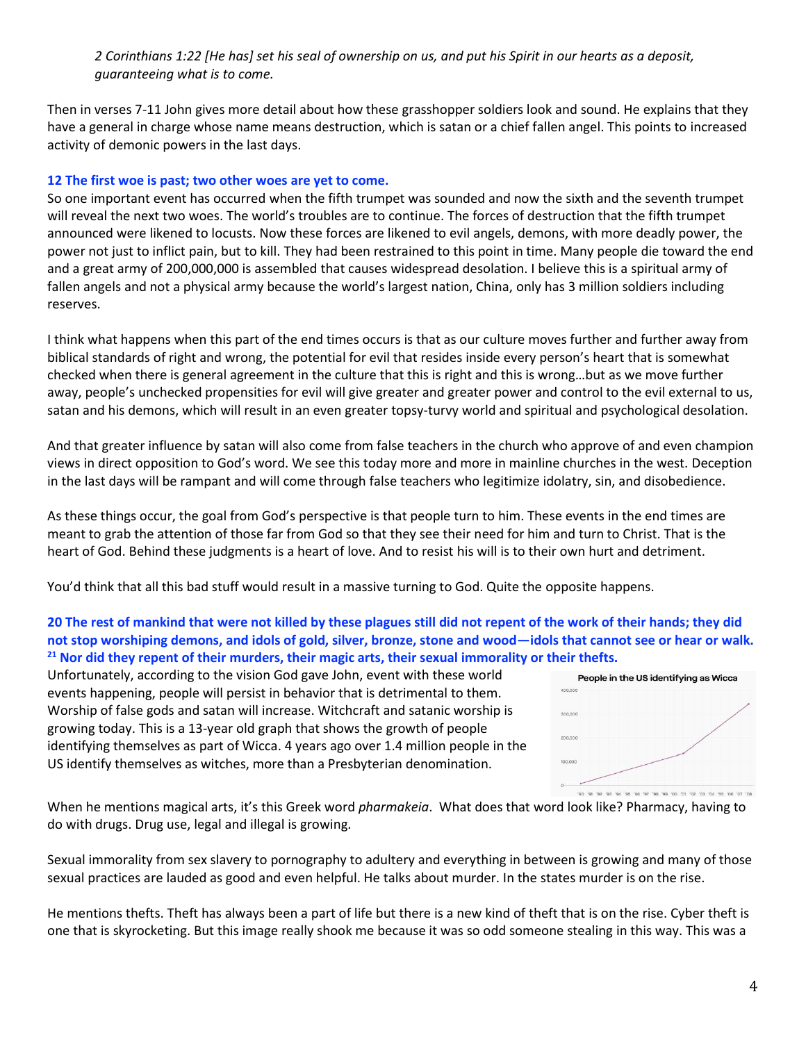*2 Corinthians 1:22 [He has] set his seal of ownership on us, and put his Spirit in our hearts as a deposit, guaranteeing what is to come.*

Then in verses 7-11 John gives more detail about how these grasshopper soldiers look and sound. He explains that they have a general in charge whose name means destruction, which is satan or a chief fallen angel. This points to increased activity of demonic powers in the last days.

### **12 The first woe is past; two other woes are yet to come.**

So one important event has occurred when the fifth trumpet was sounded and now the sixth and the seventh trumpet will reveal the next two woes. The world's troubles are to continue. The forces of destruction that the fifth trumpet announced were likened to locusts. Now these forces are likened to evil angels, demons, with more deadly power, the power not just to inflict pain, but to kill. They had been restrained to this point in time. Many people die toward the end and a great army of 200,000,000 is assembled that causes widespread desolation. I believe this is a spiritual army of fallen angels and not a physical army because the world's largest nation, China, only has 3 million soldiers including reserves.

I think what happens when this part of the end times occurs is that as our culture moves further and further away from biblical standards of right and wrong, the potential for evil that resides inside every person's heart that is somewhat checked when there is general agreement in the culture that this is right and this is wrong…but as we move further away, people's unchecked propensities for evil will give greater and greater power and control to the evil external to us, satan and his demons, which will result in an even greater topsy-turvy world and spiritual and psychological desolation.

And that greater influence by satan will also come from false teachers in the church who approve of and even champion views in direct opposition to God's word. We see this today more and more in mainline churches in the west. Deception in the last days will be rampant and will come through false teachers who legitimize idolatry, sin, and disobedience.

As these things occur, the goal from God's perspective is that people turn to him. These events in the end times are meant to grab the attention of those far from God so that they see their need for him and turn to Christ. That is the heart of God. Behind these judgments is a heart of love. And to resist his will is to their own hurt and detriment.

You'd think that all this bad stuff would result in a massive turning to God. Quite the opposite happens.

### **20 The rest of mankind that were not killed by these plagues still did not repent of the work of their hands; they did not stop worshiping demons, and idols of gold, silver, bronze, stone and wood—idols that cannot see or hear or walk. <sup>21</sup> Nor did they repent of their murders, their magic arts, their sexual immorality or their thefts.**

Unfortunately, according to the vision God gave John, event with these world events happening, people will persist in behavior that is detrimental to them. Worship of false gods and satan will increase. Witchcraft and satanic worship is growing today. This is a 13-year old graph that shows the growth of people identifying themselves as part of Wicca. 4 years ago over 1.4 million people in the US identify themselves as witches, more than a Presbyterian denomination.



When he mentions magical arts, it's this Greek word *pharmakeia*. What does that word look like? Pharmacy, having to do with drugs. Drug use, legal and illegal is growing.

Sexual immorality from sex slavery to pornography to adultery and everything in between is growing and many of those sexual practices are lauded as good and even helpful. He talks about murder. In the states murder is on the rise.

He mentions thefts. Theft has always been a part of life but there is a new kind of theft that is on the rise. Cyber theft is one that is skyrocketing. But this image really shook me because it was so odd someone stealing in this way. This was a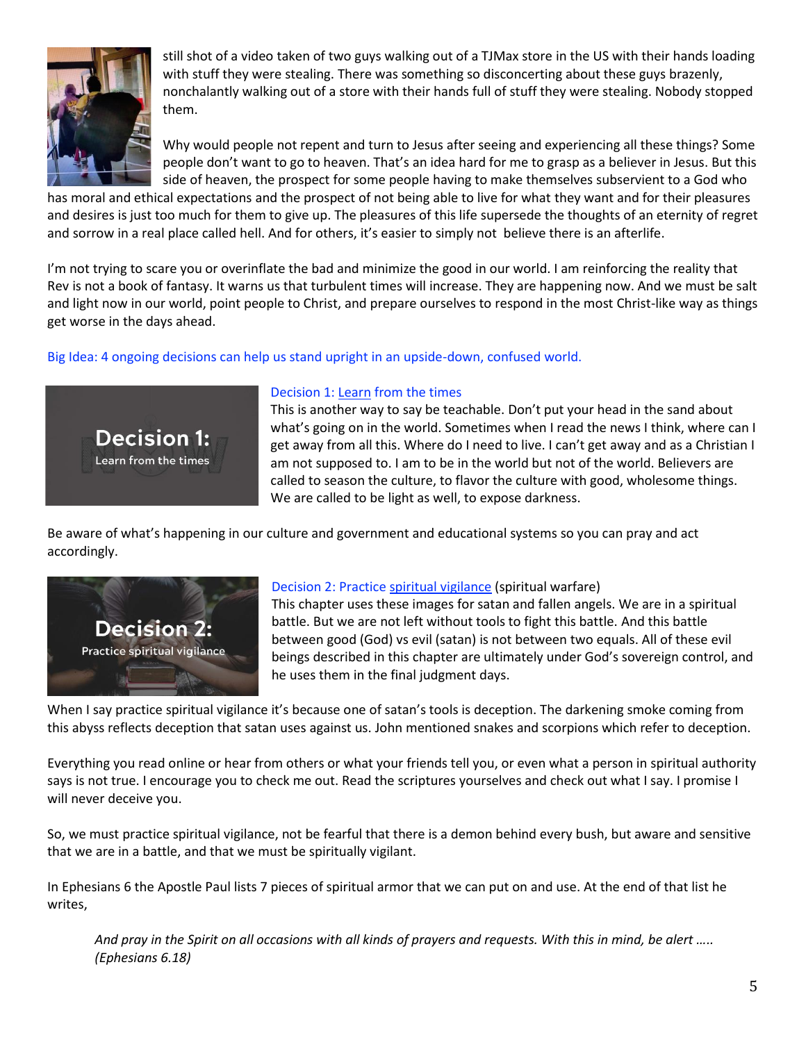

still shot of a video taken of two guys walking out of a TJMax store in the US with their hands loading with stuff they were stealing. There was something so disconcerting about these guys brazenly, nonchalantly walking out of a store with their hands full of stuff they were stealing. Nobody stopped them.

Why would people not repent and turn to Jesus after seeing and experiencing all these things? Some people don't want to go to heaven. That's an idea hard for me to grasp as a believer in Jesus. But this side of heaven, the prospect for some people having to make themselves subservient to a God who

has moral and ethical expectations and the prospect of not being able to live for what they want and for their pleasures and desires is just too much for them to give up. The pleasures of this life supersede the thoughts of an eternity of regret and sorrow in a real place called hell. And for others, it's easier to simply not believe there is an afterlife.

I'm not trying to scare you or overinflate the bad and minimize the good in our world. I am reinforcing the reality that Rev is not a book of fantasy. It warns us that turbulent times will increase. They are happening now. And we must be salt and light now in our world, point people to Christ, and prepare ourselves to respond in the most Christ-like way as things get worse in the days ahead.

Big Idea: 4 ongoing decisions can help us stand upright in an upside-down, confused world.



# Decision 1: Learn from the times

This is another way to say be teachable. Don't put your head in the sand about what's going on in the world. Sometimes when I read the news I think, where can I get away from all this. Where do I need to live. I can't get away and as a Christian I am not supposed to. I am to be in the world but not of the world. Believers are called to season the culture, to flavor the culture with good, wholesome things. We are called to be light as well, to expose darkness.

Be aware of what's happening in our culture and government and educational systems so you can pray and act accordingly.



# Decision 2: Practice spiritual vigilance (spiritual warfare)

This chapter uses these images for satan and fallen angels. We are in a spiritual battle. But we are not left without tools to fight this battle. And this battle between good (God) vs evil (satan) is not between two equals. All of these evil beings described in this chapter are ultimately under God's sovereign control, and he uses them in the final judgment days.

When I say practice spiritual vigilance it's because one of satan's tools is deception. The darkening smoke coming from this abyss reflects deception that satan uses against us. John mentioned snakes and scorpions which refer to deception.

Everything you read online or hear from others or what your friends tell you, or even what a person in spiritual authority says is not true. I encourage you to check me out. Read the scriptures yourselves and check out what I say. I promise I will never deceive you.

So, we must practice spiritual vigilance, not be fearful that there is a demon behind every bush, but aware and sensitive that we are in a battle, and that we must be spiritually vigilant.

In Ephesians 6 the Apostle Paul lists 7 pieces of spiritual armor that we can put on and use. At the end of that list he writes,

And pray in the Spirit on all occasions with all kinds of prayers and requests. With this in mind, be alert *….*. *(Ephesians 6.18)*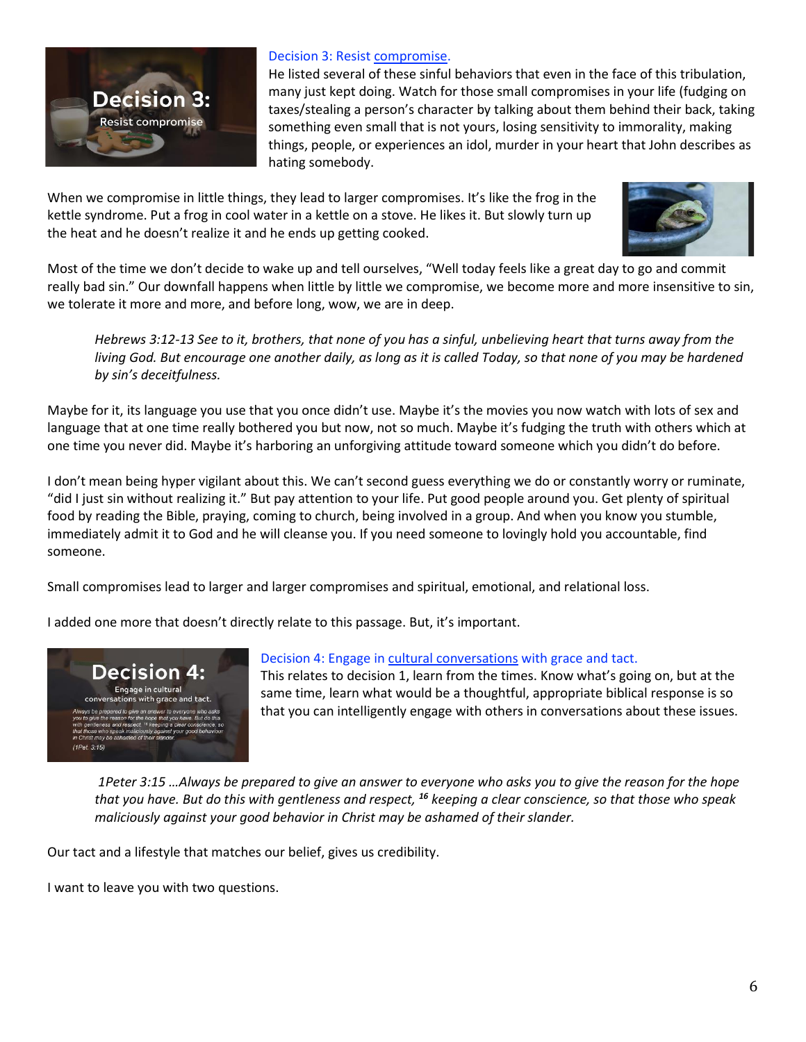

### Decision 3: Resist compromise.

He listed several of these sinful behaviors that even in the face of this tribulation, many just kept doing. Watch for those small compromises in your life (fudging on taxes/stealing a person's character by talking about them behind their back, taking something even small that is not yours, losing sensitivity to immorality, making things, people, or experiences an idol, murder in your heart that John describes as hating somebody.

When we compromise in little things, they lead to larger compromises. It's like the frog in the kettle syndrome. Put a frog in cool water in a kettle on a stove. He likes it. But slowly turn up the heat and he doesn't realize it and he ends up getting cooked.



Most of the time we don't decide to wake up and tell ourselves, "Well today feels like a great day to go and commit really bad sin." Our downfall happens when little by little we compromise, we become more and more insensitive to sin, we tolerate it more and more, and before long, wow, we are in deep.

*Hebrews 3:12-13 See to it, brothers, that none of you has a sinful, unbelieving heart that turns away from the living God. But encourage one another daily, as long as it is called Today, so that none of you may be hardened by sin's deceitfulness.*

Maybe for it, its language you use that you once didn't use. Maybe it's the movies you now watch with lots of sex and language that at one time really bothered you but now, not so much. Maybe it's fudging the truth with others which at one time you never did. Maybe it's harboring an unforgiving attitude toward someone which you didn't do before.

I don't mean being hyper vigilant about this. We can't second guess everything we do or constantly worry or ruminate, "did I just sin without realizing it." But pay attention to your life. Put good people around you. Get plenty of spiritual food by reading the Bible, praying, coming to church, being involved in a group. And when you know you stumble, immediately admit it to God and he will cleanse you. If you need someone to lovingly hold you accountable, find someone.

Small compromises lead to larger and larger compromises and spiritual, emotional, and relational loss.

I added one more that doesn't directly relate to this passage. But, it's important.



## Decision 4: Engage in cultural conversations with grace and tact.

This relates to decision 1, learn from the times. Know what's going on, but at the same time, learn what would be a thoughtful, appropriate biblical response is so that you can intelligently engage with others in conversations about these issues.

*1Peter 3:15 …Always be prepared to give an answer to everyone who asks you to give the reason for the hope that you have. But do this with gentleness and respect, <sup>16</sup> keeping a clear conscience, so that those who speak maliciously against your good behavior in Christ may be ashamed of their slander.*

Our tact and a lifestyle that matches our belief, gives us credibility.

I want to leave you with two questions.